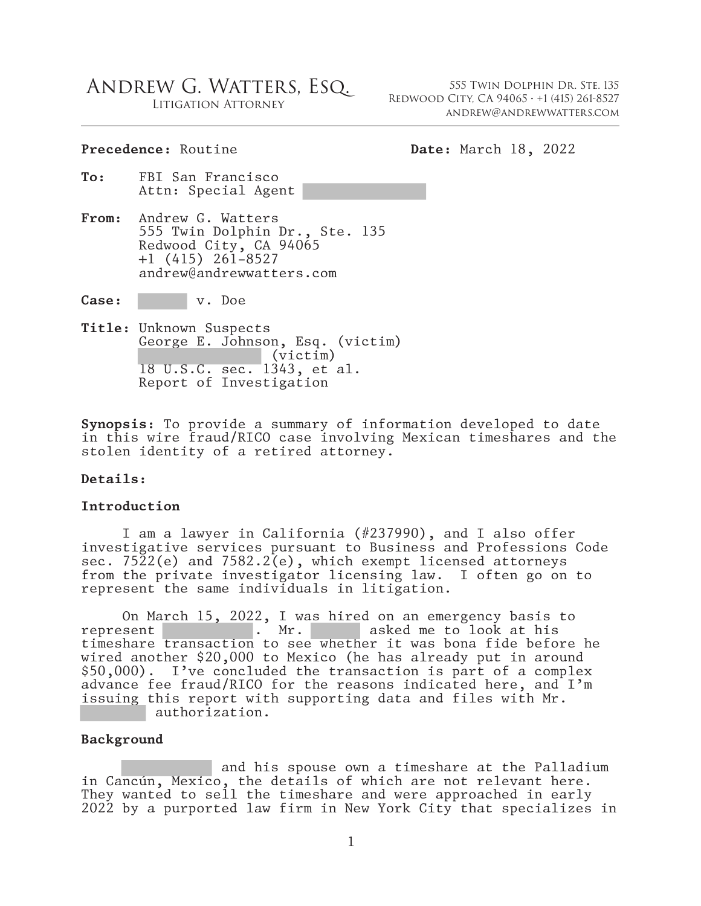# Andrew G. Watters, Esq.

Litigation Attorney

555 Twin Dolphin Dr. Ste. 135 Redwood City, CA 94065 ∙ +1 (415) 261-8527 andrew@andrewwatters.com

#### Precedence: Routine **Date:** March 18, 2022

- **To:** FBI San Francisco Attn: Special Agent
- **From:** Andrew G. Watters 555 Twin Dolphin Dr., Ste. 135 Redwood City, CA 94065 +1 (415) 261-8527 andrew@andrewwatters.com

**Case:** v. Doe

**Title:** Unknown Suspects George E. Johnson, Esq. (victim) (victim) 18 U.S.C. sec. 1343, et al. Report of Investigation

**Synopsis:** To provide a summary of information developed to date in this wire fraud/RICO case involving Mexican timeshares and the stolen identity of a retired attorney.

#### **Details:**

#### **Introduction**

I am a lawyer in California (#237990), and I also offer investigative services pursuant to Business and Professions Code sec. 7522(e) and 7582.2(e), which exempt licensed attorneys from the private investigator licensing law. I often go on to represent the same individuals in litigation.

On March 15, 2022, I was hired on an emergency basis to represent  $\begin{array}{c} \text{or} \\ \text{or} \\ \text{or} \end{array}$  On Mr. asked me to look at his timeshare transaction to see whether it was bona fide before he wired another \$20,000 to Mexico (he has already put in around \$50,000). I've concluded the transaction is part of a complex advance fee fraud/RICO for the reasons indicated here, and I'm issuing this report with supporting data and files with Mr. authorization.

#### **Background**

 and his spouse own a timeshare at the Palladium in Cancún, Mexico, the details of which are not relevant here. They wanted to sell the timeshare and were approached in early 2022 by a purported law firm in New York City that specializes in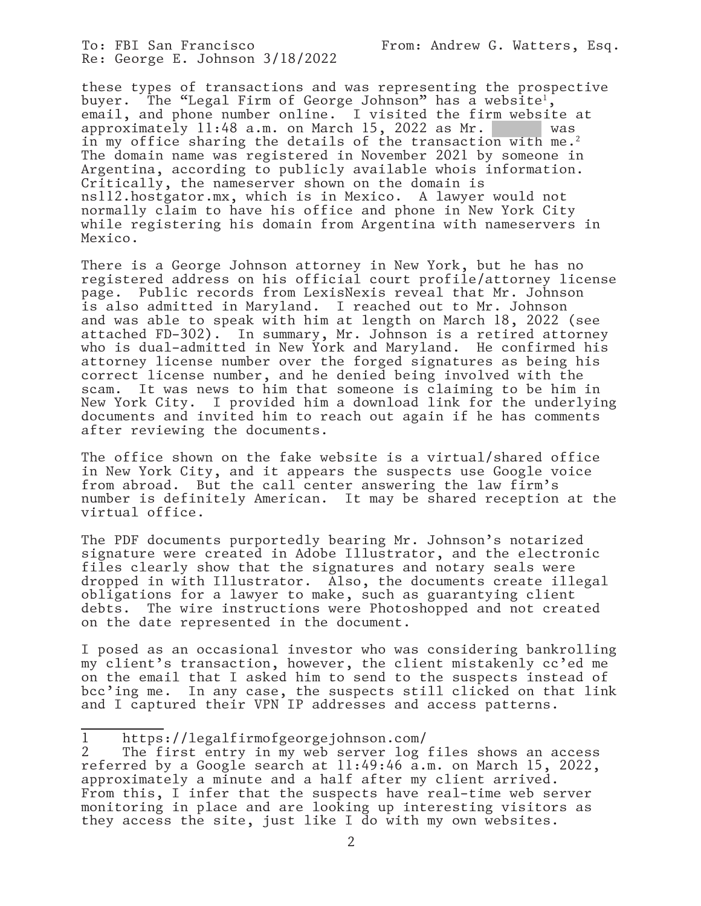To: FBI San Francisco From: Andrew G. Watters, Esq. Re: George E. Johnson 3/18/2022

these types of transactions and was representing the prospective<br>buyer. The "Legal Firm of George Johnson" has a website<sup>1</sup>, buyer. The "Legal Firm of George Johnson" has a website<sup>1</sup>,<br>email, and phone number online. I visited the fir<u>m webs</u>ite at approximately 11:48 a.m. on March 15, 2022 as Mr. was in my office sharing the details of the transaction with me.2 The domain name was registered in November 2021 by someone in Argentina, according to publicly available whois information. Critically, the nameserver shown on the domain is ns112.hostgator.mx, which is in Mexico. A lawyer would not normally claim to have his office and phone in New York City while registering his domain from Argentina with nameservers in Mexico.

There is a George Johnson attorney in New York, but he has no registered address on his official court profile/attorney license page. Public records from LexisNexis reveal that Mr. Johnson is also admitted in Maryland. I reached out to Mr. Johnson and was able to speak with him at length on March 18, 2022 (see attached FD-302). In summary, Mr. Johnson is a retired attorney who is dual-admitted in New York and Maryland. He confirmed his attorney license number over the forged signatures as being his correct license number, and he denied being involved with the scam. It was news to him that someone is claiming to be him in New York City. I provided him a download link for the underlying documents and invited him to reach out again if he has comments after reviewing the documents.

The office shown on the fake website is a virtual/shared office in New York City, and it appears the suspects use Google voice from abroad. But the call center answering the law firm's number is definitely American. It may be shared reception at the virtual office.

The PDF documents purportedly bearing Mr. Johnson's notarized signature were created in Adobe Illustrator, and the electronic files clearly show that the signatures and notary seals were dropped in with Illustrator. Also, the documents create illegal obligations for a lawyer to make, such as guarantying client debts. The wire instructions were Photoshopped and not created on the date represented in the document.

I posed as an occasional investor who was considering bankrolling my client's transaction, however, the client mistakenly cc'ed me on the email that I asked him to send to the suspects instead of bcc'ing me. In any case, the suspects still clicked on that link and I captured their VPN IP addresses and access patterns.

<sup>1</sup> https://legalfirmofgeorgejohnson.com/

<sup>2</sup> The first entry in my web server log files shows an access referred by a Google search at 11:49:46 a.m. on March 15, 2022, approximately a minute and a half after my client arrived. From this, I infer that the suspects have real-time web server monitoring in place and are looking up interesting visitors as they access the site, just like I do with my own websites.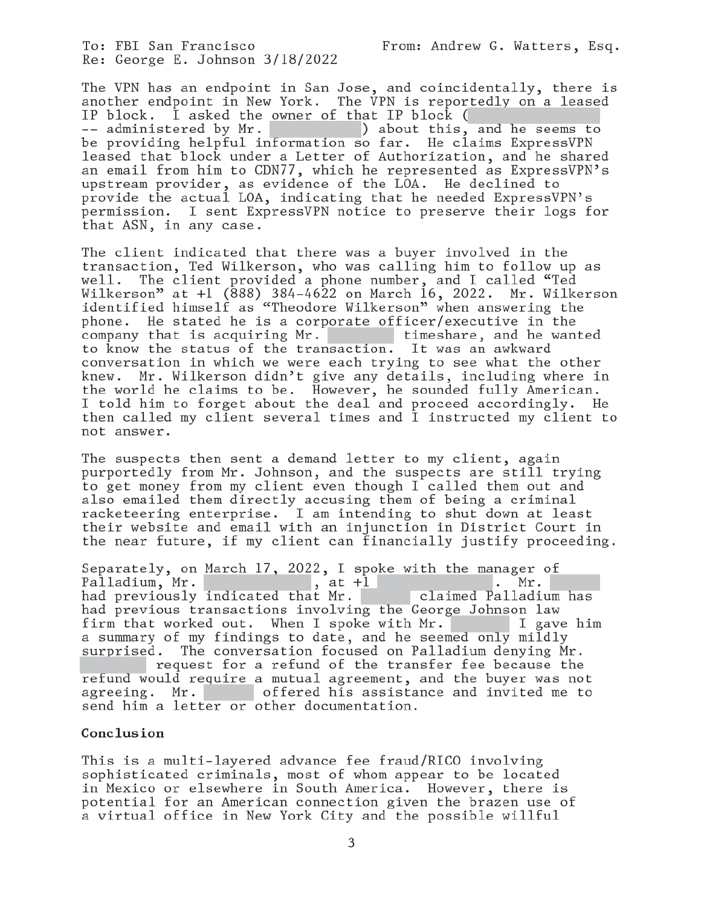To: FBI San Francisco Re: George E. Johnson 3/18/2022 From: Andrew G. Watters, Esq.

The VPN has an endpoint in San Jose, and coincidentally, there is another endpoint in New York. The VPN is reportedly on a leased IP block. I asked the owner of that IP block  $($ -- administered by Mr. (a) about this, and he seems to<br>be providing helpful information so far. He claims ExpressVPN leased that block under a Letter of Authorization, and he shared<br>an email from him to CDN77, which he represented as ExpressVPN's upstream provider, as evidence of the LOA. He declined to provide the actual LOA, indicating that he needed ExpressVPN's permission. I sent ExpressVPN notice to preserve their logs for that ASN, in any case.

The client indicated that there was a buyer involved in the transaction, Ted Wilkerson, who was calling him to follow up as The client provided a phone number, and I called "Ted  $w$ e $11$ . Wilkerson" at +1 (888) 384-4622 on March 16, 2022. Mr. Wilkerson<br>identified himself as "Theodore Wilkerson" when answering the phone. He stated he is a corporate officer/executive in the timeshare, and he wanted company that is acquiring Mr. to know the status of the transaction. It was an awkward conversation in which we were each trying to see what the other Mr. Wilkerson didn't give any details, including where in knew. the world he claims to be. However, he sounded fully American. I told him to forget about the deal and proceed accordingly. He then called my client several times and I instructed my client to not answer.

The suspects then sent a demand letter to my client, again purportedly from Mr. Johnson, and the suspects are still trying to get money from my client even though I called them out and also emailed them directly accusing them of being a criminal racketeering enterprise. I am intending to shut down at least their website and email with an injunction in District Court in the near future, if my client can financially justify proceeding.

Separately, on March 17, 2022, I spoke with the manager of Palladium, Mr.<br>had previously indicated that Mr.<br>claimed Palladium has had previous transactions involving the George Johnson law firm that worked out. When I spoke with Mr. I gave him a summary of my findings to date, and he seemed only mildly surprised. The conversation focused on Palladium denying Mr. request for a refund of the transfer fee because the refund would require a mutual agreement, and the buyer was not offered his assistance and invited me to agreeing. Mr. send him a letter or other documentation.

#### Conclusion

This is a multi-layered advance fee fraud/RICO involving sophisticated criminals, most of whom appear to be located in Mexico or elsewhere in South America. However, there is potential for an American connection given the brazen use of a virtual office in New York City and the possible willful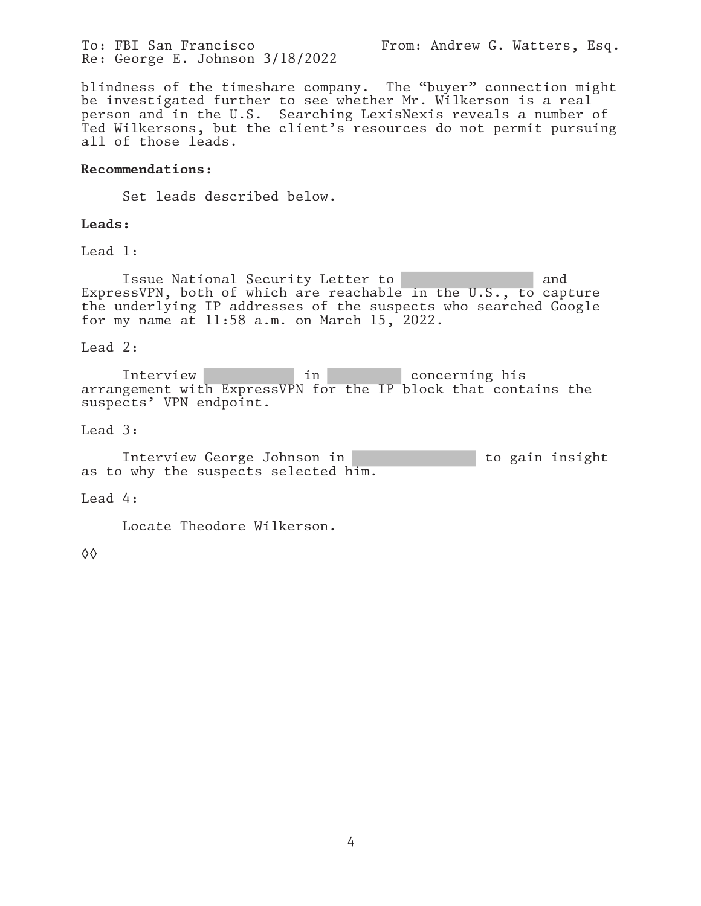To: FBI San Francisco From: Andrew G. Watters, Esq. Re: George E. Johnson 3/18/2022

blindness of the timeshare company. The "buyer" connection might be investigated further to see whether Mr. Wilkerson is a real person and in the U.S. Searching LexisNexis reveals a number of Ted Wilkersons, but the client's resources do not permit pursuing all of those leads.

#### **Recommendations:**

Set leads described below.

## **Leads:**

Lead 1:

Issue National Security Letter to and and ExpressVPN, both of which are reachable in the U.S., to capture the underlying IP addresses of the suspects who searched Google for my name at 11:58 a.m. on March 15, 2022.

## Lead 2:

Interview in in concerning his arrangement with ExpressVPN for the IP block that contains the suspects' VPN endpoint.

#### Lead 3:

Interview George Johnson in to gain insight as to why the suspects selected him.

#### Lead 4:

Locate Theodore Wilkerson.

◊◊